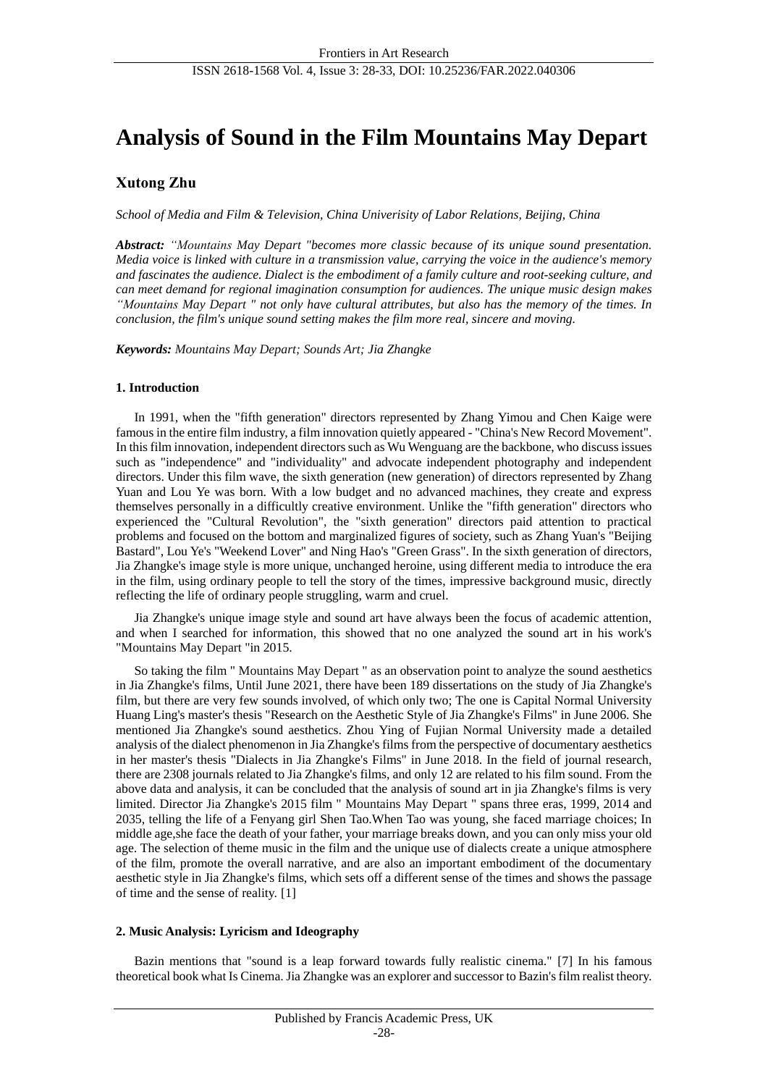# **Analysis of Sound in the Film Mountains May Depart**

# **Xutong Zhu**

*School of Media and Film & Television, China Univerisity of Labor Relations, Beijing, China*

*Abstract: "Mountains May Depart "becomes more classic because of its unique sound presentation. Media voice is linked with culture in a transmission value, carrying the voice in the audience's memory and fascinates the audience. Dialect is the embodiment of a family culture and root-seeking culture, and can meet demand for regional imagination consumption for audiences. The unique music design makes "Mountains May Depart " not only have cultural attributes, but also has the memory of the times. In conclusion, the film's unique sound setting makes the film more real, sincere and moving.*

*Keywords: Mountains May Depart; Sounds Art; Jia Zhangke*

## **1. Introduction**

In 1991, when the "fifth generation" directors represented by Zhang Yimou and Chen Kaige were famous in the entire film industry, a film innovation quietly appeared - "China's New Record Movement". In this film innovation, independent directors such as Wu Wenguang are the backbone, who discuss issues such as "independence" and "individuality" and advocate independent photography and independent directors. Under this film wave, the sixth generation (new generation) of directors represented by Zhang Yuan and Lou Ye was born. With a low budget and no advanced machines, they create and express themselves personally in a difficultly creative environment. Unlike the "fifth generation" directors who experienced the "Cultural Revolution", the "sixth generation" directors paid attention to practical problems and focused on the bottom and marginalized figures of society, such as Zhang Yuan's "Beijing Bastard", Lou Ye's "Weekend Lover" and Ning Hao's "Green Grass". In the sixth generation of directors, Jia Zhangke's image style is more unique, unchanged heroine, using different media to introduce the era in the film, using ordinary people to tell the story of the times, impressive background music, directly reflecting the life of ordinary people struggling, warm and cruel.

Jia Zhangke's unique image style and sound art have always been the focus of academic attention, and when I searched for information, this showed that no one analyzed the sound art in his work's "Mountains May Depart "in 2015.

So taking the film " Mountains May Depart " as an observation point to analyze the sound aesthetics in Jia Zhangke's films, Until June 2021, there have been 189 dissertations on the study of Jia Zhangke's film, but there are very few sounds involved, of which only two; The one is Capital Normal University Huang Ling's master's thesis "Research on the Aesthetic Style of Jia Zhangke's Films" in June 2006. She mentioned Jia Zhangke's sound aesthetics. Zhou Ying of Fujian Normal University made a detailed analysis of the dialect phenomenon in Jia Zhangke's films from the perspective of documentary aesthetics in her master's thesis "Dialects in Jia Zhangke's Films" in June 2018. In the field of journal research, there are 2308 journals related to Jia Zhangke's films, and only 12 are related to his film sound. From the above data and analysis, it can be concluded that the analysis of sound art in jia Zhangke's films is very limited. Director Jia Zhangke's 2015 film " Mountains May Depart " spans three eras, 1999, 2014 and 2035, telling the life of a Fenyang girl Shen Tao.When Tao was young, she faced marriage choices; In middle age,she face the death of your father, your marriage breaks down, and you can only miss your old age. The selection of theme music in the film and the unique use of dialects create a unique atmosphere of the film, promote the overall narrative, and are also an important embodiment of the documentary aesthetic style in Jia Zhangke's films, which sets off a different sense of the times and shows the passage of time and the sense of reality. [1]

## **2. Music Analysis: Lyricism and Ideography**

Bazin mentions that "sound is a leap forward towards fully realistic cinema." [7] In his famous theoretical book what Is Cinema. Jia Zhangke was an explorer and successor to Bazin's film realist theory.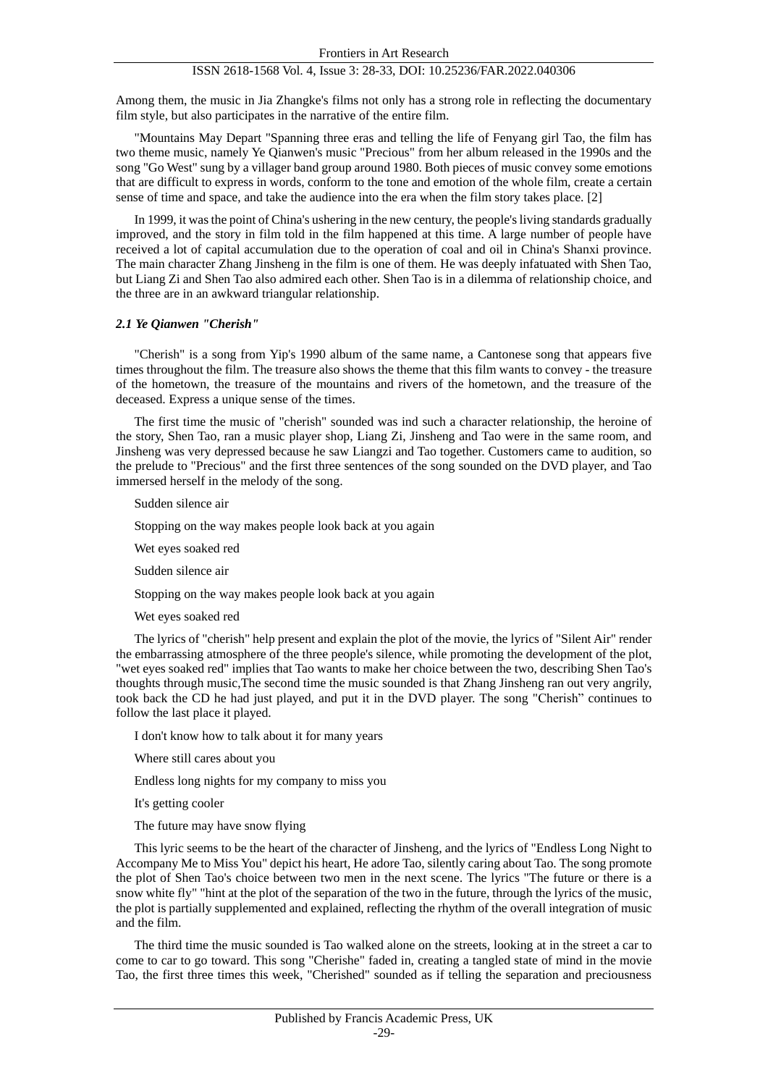Among them, the music in Jia Zhangke's films not only has a strong role in reflecting the documentary film style, but also participates in the narrative of the entire film.

"Mountains May Depart "Spanning three eras and telling the life of Fenyang girl Tao, the film has two theme music, namely Ye Qianwen's music "Precious" from her album released in the 1990s and the song "Go West" sung by a villager band group around 1980. Both pieces of music convey some emotions that are difficult to express in words, conform to the tone and emotion of the whole film, create a certain sense of time and space, and take the audience into the era when the film story takes place. [2]

In 1999, it was the point of China's ushering in the new century, the people's living standards gradually improved, and the story in film told in the film happened at this time. A large number of people have received a lot of capital accumulation due to the operation of coal and oil in China's Shanxi province. The main character Zhang Jinsheng in the film is one of them. He was deeply infatuated with Shen Tao, but Liang Zi and Shen Tao also admired each other. Shen Tao is in a dilemma of relationship choice, and the three are in an awkward triangular relationship.

#### *2.1 Ye Qianwen "Cherish"*

"Cherish" is a song from Yip's 1990 album of the same name, a Cantonese song that appears five times throughout the film. The treasure also shows the theme that this film wants to convey - the treasure of the hometown, the treasure of the mountains and rivers of the hometown, and the treasure of the deceased. Express a unique sense of the times.

The first time the music of "cherish" sounded was ind such a character relationship, the heroine of the story, Shen Tao, ran a music player shop, Liang Zi, Jinsheng and Tao were in the same room, and Jinsheng was very depressed because he saw Liangzi and Tao together. Customers came to audition, so the prelude to "Precious" and the first three sentences of the song sounded on the DVD player, and Tao immersed herself in the melody of the song.

- Sudden silence air
- Stopping on the way makes people look back at you again
- Wet eyes soaked red
- Sudden silence air
- Stopping on the way makes people look back at you again
- Wet eyes soaked red

The lyrics of "cherish" help present and explain the plot of the movie, the lyrics of "Silent Air" render the embarrassing atmosphere of the three people's silence, while promoting the development of the plot, "wet eyes soaked red" implies that Tao wants to make her choice between the two, describing Shen Tao's thoughts through music,The second time the music sounded is that Zhang Jinsheng ran out very angrily, took back the CD he had just played, and put it in the DVD player. The song "Cherish" continues to follow the last place it played.

- I don't know how to talk about it for many years
- Where still cares about you
- Endless long nights for my company to miss you
- It's getting cooler
- The future may have snow flying

This lyric seems to be the heart of the character of Jinsheng, and the lyrics of "Endless Long Night to Accompany Me to Miss You" depict his heart, He adore Tao, silently caring about Tao. The song promote the plot of Shen Tao's choice between two men in the next scene. The lyrics "The future or there is a snow white fly" "hint at the plot of the separation of the two in the future, through the lyrics of the music, the plot is partially supplemented and explained, reflecting the rhythm of the overall integration of music and the film.

The third time the music sounded is Tao walked alone on the streets, looking at in the street a car to come to car to go toward. This song "Cherishe" faded in, creating a tangled state of mind in the movie Tao, the first three times this week, "Cherished" sounded as if telling the separation and preciousness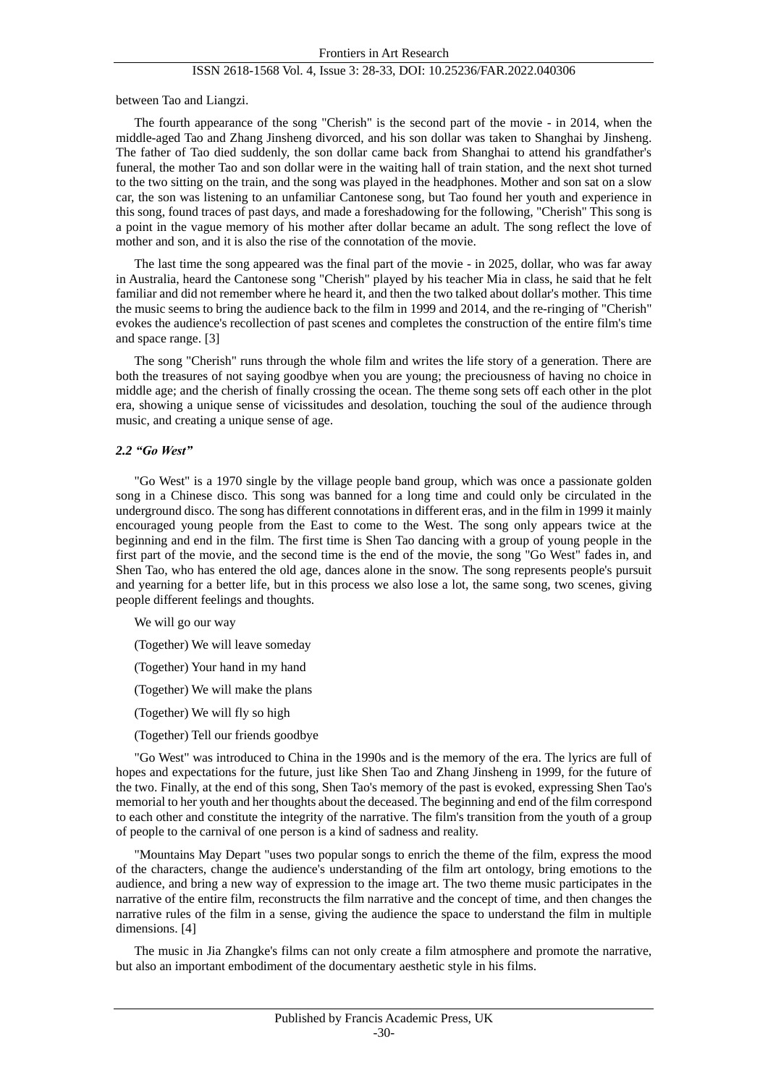between Tao and Liangzi.

The fourth appearance of the song "Cherish" is the second part of the movie - in 2014, when the middle-aged Tao and Zhang Jinsheng divorced, and his son dollar was taken to Shanghai by Jinsheng. The father of Tao died suddenly, the son dollar came back from Shanghai to attend his grandfather's funeral, the mother Tao and son dollar were in the waiting hall of train station, and the next shot turned to the two sitting on the train, and the song was played in the headphones. Mother and son sat on a slow car, the son was listening to an unfamiliar Cantonese song, but Tao found her youth and experience in this song, found traces of past days, and made a foreshadowing for the following, "Cherish" This song is a point in the vague memory of his mother after dollar became an adult. The song reflect the love of mother and son, and it is also the rise of the connotation of the movie.

The last time the song appeared was the final part of the movie - in 2025, dollar, who was far away in Australia, heard the Cantonese song "Cherish" played by his teacher Mia in class, he said that he felt familiar and did not remember where he heard it, and then the two talked about dollar's mother. This time the music seems to bring the audience back to the film in 1999 and 2014, and the re-ringing of "Cherish" evokes the audience's recollection of past scenes and completes the construction of the entire film's time and space range. [3]

The song "Cherish" runs through the whole film and writes the life story of a generation. There are both the treasures of not saying goodbye when you are young; the preciousness of having no choice in middle age; and the cherish of finally crossing the ocean. The theme song sets off each other in the plot era, showing a unique sense of vicissitudes and desolation, touching the soul of the audience through music, and creating a unique sense of age.

## *2.2 "Go West"*

"Go West" is a 1970 single by the village people band group, which was once a passionate golden song in a Chinese disco. This song was banned for a long time and could only be circulated in the underground disco. The song has different connotations in different eras, and in the film in 1999 it mainly encouraged young people from the East to come to the West. The song only appears twice at the beginning and end in the film. The first time is Shen Tao dancing with a group of young people in the first part of the movie, and the second time is the end of the movie, the song "Go West" fades in, and Shen Tao, who has entered the old age, dances alone in the snow. The song represents people's pursuit and yearning for a better life, but in this process we also lose a lot, the same song, two scenes, giving people different feelings and thoughts.

We will go our way

(Together) We will leave someday

(Together) Your hand in my hand

(Together) We will make the plans

(Together) We will fly so high

(Together) Tell our friends goodbye

"Go West" was introduced to China in the 1990s and is the memory of the era. The lyrics are full of hopes and expectations for the future, just like Shen Tao and Zhang Jinsheng in 1999, for the future of the two. Finally, at the end of this song, Shen Tao's memory of the past is evoked, expressing Shen Tao's memorial to her youth and her thoughts about the deceased. The beginning and end of the film correspond to each other and constitute the integrity of the narrative. The film's transition from the youth of a group of people to the carnival of one person is a kind of sadness and reality.

"Mountains May Depart "uses two popular songs to enrich the theme of the film, express the mood of the characters, change the audience's understanding of the film art ontology, bring emotions to the audience, and bring a new way of expression to the image art. The two theme music participates in the narrative of the entire film, reconstructs the film narrative and the concept of time, and then changes the narrative rules of the film in a sense, giving the audience the space to understand the film in multiple dimensions. [4]

The music in Jia Zhangke's films can not only create a film atmosphere and promote the narrative, but also an important embodiment of the documentary aesthetic style in his films.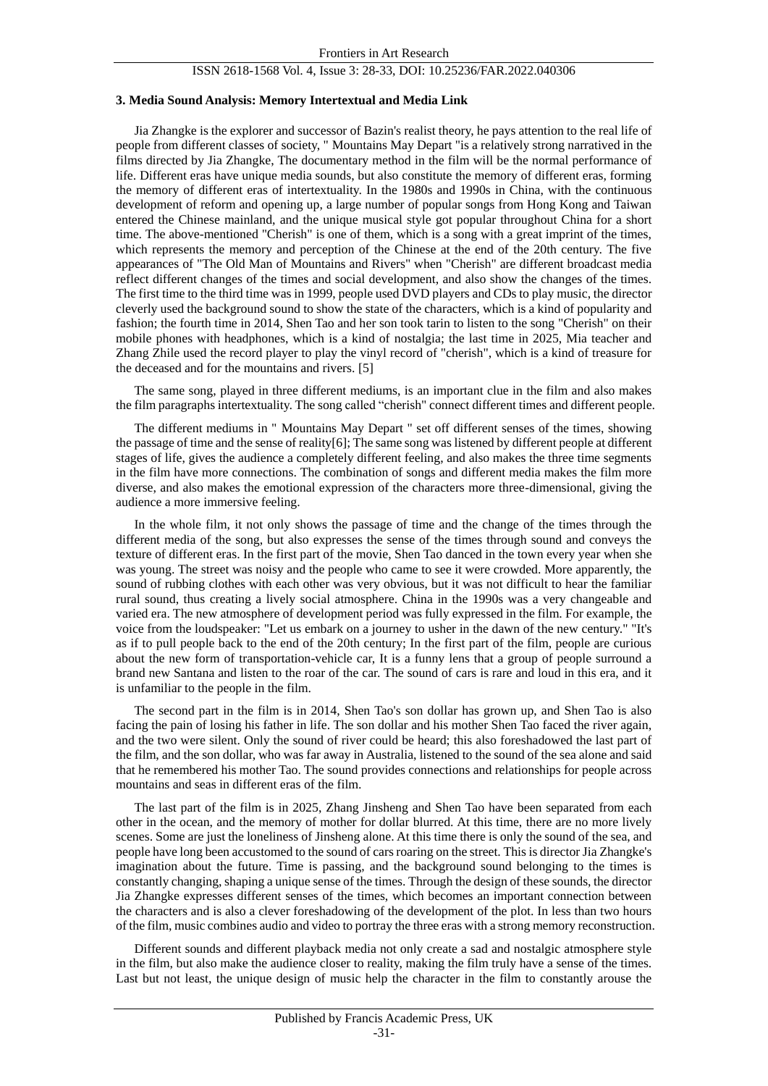#### **3. Media Sound Analysis: Memory Intertextual and Media Link**

Jia Zhangke is the explorer and successor of Bazin's realist theory, he pays attention to the real life of people from different classes of society, " Mountains May Depart "is a relatively strong narratived in the films directed by Jia Zhangke, The documentary method in the film will be the normal performance of life. Different eras have unique media sounds, but also constitute the memory of different eras, forming the memory of different eras of intertextuality. In the 1980s and 1990s in China, with the continuous development of reform and opening up, a large number of popular songs from Hong Kong and Taiwan entered the Chinese mainland, and the unique musical style got popular throughout China for a short time. The above-mentioned "Cherish" is one of them, which is a song with a great imprint of the times, which represents the memory and perception of the Chinese at the end of the 20th century. The five appearances of "The Old Man of Mountains and Rivers" when "Cherish" are different broadcast media reflect different changes of the times and social development, and also show the changes of the times. The first time to the third time was in 1999, people used DVD players and CDs to play music, the director cleverly used the background sound to show the state of the characters, which is a kind of popularity and fashion; the fourth time in 2014, Shen Tao and her son took tarin to listen to the song "Cherish" on their mobile phones with headphones, which is a kind of nostalgia; the last time in 2025, Mia teacher and Zhang Zhile used the record player to play the vinyl record of "cherish", which is a kind of treasure for the deceased and for the mountains and rivers. [5]

The same song, played in three different mediums, is an important clue in the film and also makes the film paragraphs intertextuality. The song called "cherish" connect different times and different people.

The different mediums in " Mountains May Depart " set off different senses of the times, showing the passage of time and the sense of reality[6]; The same song was listened by different people at different stages of life, gives the audience a completely different feeling, and also makes the three time segments in the film have more connections. The combination of songs and different media makes the film more diverse, and also makes the emotional expression of the characters more three-dimensional, giving the audience a more immersive feeling.

In the whole film, it not only shows the passage of time and the change of the times through the different media of the song, but also expresses the sense of the times through sound and conveys the texture of different eras. In the first part of the movie, Shen Tao danced in the town every year when she was young. The street was noisy and the people who came to see it were crowded. More apparently, the sound of rubbing clothes with each other was very obvious, but it was not difficult to hear the familiar rural sound, thus creating a lively social atmosphere. China in the 1990s was a very changeable and varied era. The new atmosphere of development period was fully expressed in the film. For example, the voice from the loudspeaker: "Let us embark on a journey to usher in the dawn of the new century." "It's as if to pull people back to the end of the 20th century; In the first part of the film, people are curious about the new form of transportation-vehicle car, It is a funny lens that a group of people surround a brand new Santana and listen to the roar of the car. The sound of cars is rare and loud in this era, and it is unfamiliar to the people in the film.

The second part in the film is in 2014, Shen Tao's son dollar has grown up, and Shen Tao is also facing the pain of losing his father in life. The son dollar and his mother Shen Tao faced the river again, and the two were silent. Only the sound of river could be heard; this also foreshadowed the last part of the film, and the son dollar, who was far away in Australia, listened to the sound of the sea alone and said that he remembered his mother Tao. The sound provides connections and relationships for people across mountains and seas in different eras of the film.

The last part of the film is in 2025, Zhang Jinsheng and Shen Tao have been separated from each other in the ocean, and the memory of mother for dollar blurred. At this time, there are no more lively scenes. Some are just the loneliness of Jinsheng alone. At this time there is only the sound of the sea, and people have long been accustomed to the sound of cars roaring on the street. This is director Jia Zhangke's imagination about the future. Time is passing, and the background sound belonging to the times is constantly changing, shaping a unique sense of the times. Through the design of these sounds, the director Jia Zhangke expresses different senses of the times, which becomes an important connection between the characters and is also a clever foreshadowing of the development of the plot. In less than two hours of the film, music combines audio and video to portray the three eras with a strong memory reconstruction.

Different sounds and different playback media not only create a sad and nostalgic atmosphere style in the film, but also make the audience closer to reality, making the film truly have a sense of the times. Last but not least, the unique design of music help the character in the film to constantly arouse the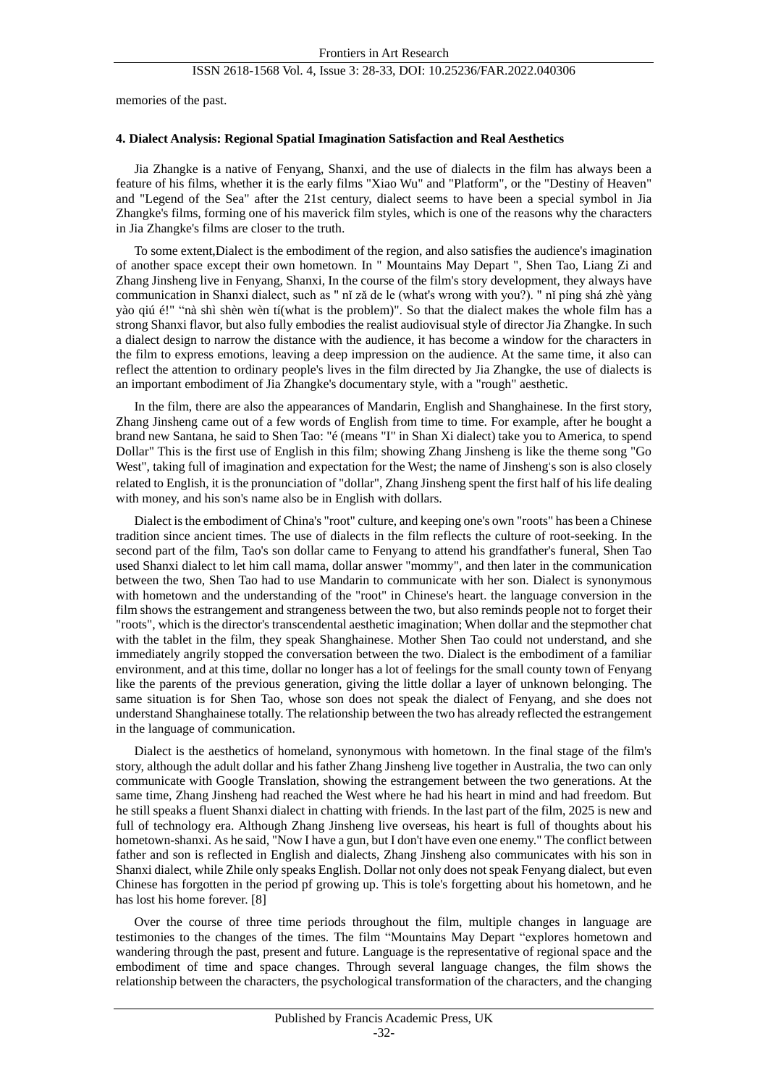memories of the past.

#### **4. Dialect Analysis: Regional Spatial Imagination Satisfaction and Real Aesthetics**

Jia Zhangke is a native of Fenyang, Shanxi, and the use of dialects in the film has always been a feature of his films, whether it is the early films "Xiao Wu" and "Platform", or the "Destiny of Heaven" and "Legend of the Sea" after the 21st century, dialect seems to have been a special symbol in Jia Zhangke's films, forming one of his maverick film styles, which is one of the reasons why the characters in Jia Zhangke's films are closer to the truth.

To some extent,Dialect is the embodiment of the region, and also satisfies the audience's imagination of another space except their own hometown. In " Mountains May Depart ", Shen Tao, Liang Zi and Zhang Jinsheng live in Fenyang, Shanxi, In the course of the film's story development, they always have communication in Shanxi dialect, such as " nǐ zǎ de le (what's wrong with you?). " nǐ píng shá zhè yàng yào qiú é!" "nà shì shèn wèn t (what is the problem)". So that the dialect makes the whole film has a strong Shanxi flavor, but also fully embodies the realist audiovisual style of director Jia Zhangke. In such a dialect design to narrow the distance with the audience, it has become a window for the characters in the film to express emotions, leaving a deep impression on the audience. At the same time, it also can reflect the attention to ordinary people's lives in the film directed by Jia Zhangke, the use of dialects is an important embodiment of Jia Zhangke's documentary style, with a "rough" aesthetic.

In the film, there are also the appearances of Mandarin, English and Shanghainese. In the first story, Zhang Jinsheng came out of a few words of English from time to time. For example, after he bought a brand new Santana, he said to Shen Tao: "é (means "I" in Shan Xi dialect) take you to America, to spend Dollar" This is the first use of English in this film; showing Zhang Jinsheng is like the theme song "Go West", taking full of imagination and expectation for the West; the name of Jinsheng's son is also closely related to English, it is the pronunciation of "dollar", Zhang Jinsheng spent the first half of his life dealing with money, and his son's name also be in English with dollars.

Dialect is the embodiment of China's "root" culture, and keeping one's own "roots" has been a Chinese tradition since ancient times. The use of dialects in the film reflects the culture of root-seeking. In the second part of the film, Tao's son dollar came to Fenyang to attend his grandfather's funeral, Shen Tao used Shanxi dialect to let him call mama, dollar answer "mommy", and then later in the communication between the two, Shen Tao had to use Mandarin to communicate with her son. Dialect is synonymous with hometown and the understanding of the "root" in Chinese's heart. the language conversion in the film shows the estrangement and strangeness between the two, but also reminds people not to forget their "roots", which is the director's transcendental aesthetic imagination; When dollar and the stepmother chat with the tablet in the film, they speak Shanghainese. Mother Shen Tao could not understand, and she immediately angrily stopped the conversation between the two. Dialect is the embodiment of a familiar environment, and at this time, dollar no longer has a lot of feelings for the small county town of Fenyang like the parents of the previous generation, giving the little dollar a layer of unknown belonging. The same situation is for Shen Tao, whose son does not speak the dialect of Fenyang, and she does not understand Shanghainese totally. The relationship between the two has already reflected the estrangement in the language of communication.

Dialect is the aesthetics of homeland, synonymous with hometown. In the final stage of the film's story, although the adult dollar and his father Zhang Jinsheng live together in Australia, the two can only communicate with Google Translation, showing the estrangement between the two generations. At the same time, Zhang Jinsheng had reached the West where he had his heart in mind and had freedom. But he still speaks a fluent Shanxi dialect in chatting with friends. In the last part of the film, 2025 is new and full of technology era. Although Zhang Jinsheng live overseas, his heart is full of thoughts about his hometown-shanxi. As he said, "Now I have a gun, but I don't have even one enemy." The conflict between father and son is reflected in English and dialects, Zhang Jinsheng also communicates with his son in Shanxi dialect, while Zhile only speaks English. Dollar not only does not speak Fenyang dialect, but even Chinese has forgotten in the period pf growing up. This is tole's forgetting about his hometown, and he has lost his home forever. [8]

Over the course of three time periods throughout the film, multiple changes in language are testimonies to the changes of the times. The film "Mountains May Depart "explores hometown and wandering through the past, present and future. Language is the representative of regional space and the embodiment of time and space changes. Through several language changes, the film shows the relationship between the characters, the psychological transformation of the characters, and the changing